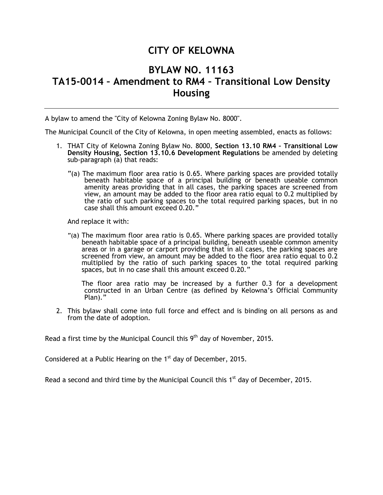## **CITY OF KELOWNA**

## **BYLAW NO. 11163 TA15-0014 – Amendment to RM4 – Transitional Low Density Housing**

A bylaw to amend the "City of Kelowna Zoning Bylaw No. 8000".

The Municipal Council of the City of Kelowna, in open meeting assembled, enacts as follows:

- 1. THAT City of Kelowna Zoning Bylaw No. 8000, **Section 13.10 RM4 – Transitional Low Density Housing, Section 13.10.6 Development Regulations** be amended by deleting sub-paragraph (a) that reads:
	- "(a) The maximum floor area ratio is 0.65. Where parking spaces are provided totally beneath habitable space of a principal building or beneath useable common amenity areas providing that in all cases, the parking spaces are screened from view, an amount may be added to the floor area ratio equal to 0.2 multiplied by the ratio of such parking spaces to the total required parking spaces, but in no case shall this amount exceed 0.20."

And replace it with:

"(a) The maximum floor area ratio is 0.65. Where parking spaces are provided totally beneath habitable space of a principal building, beneath useable common amenity areas or in a garage or carport providing that in all cases, the parking spaces are screened from view, an amount may be added to the floor area ratio equal to 0.2 multiplied by the ratio of such parking spaces to the total required parking spaces, but in no case shall this amount exceed 0.20."

The floor area ratio may be increased by a further 0.3 for a development constructed in an Urban Centre (as defined by Kelowna's Official Community Plan)."

2. This bylaw shall come into full force and effect and is binding on all persons as and from the date of adoption.

Read a first time by the Municipal Council this  $9<sup>th</sup>$  day of November, 2015.

Considered at a Public Hearing on the  $1<sup>st</sup>$  day of December, 2015.

Read a second and third time by the Municipal Council this  $1<sup>st</sup>$  day of December, 2015.